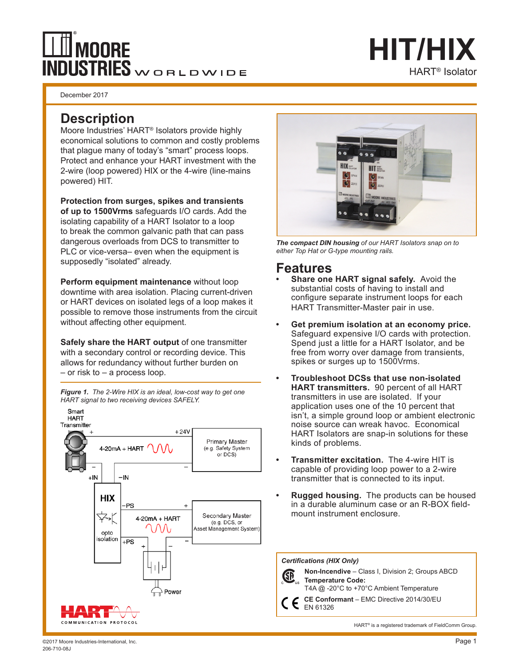# **MOORE** INDUSTRIES WORLDWIDE

December 2017

### **Description**

Moore Industries' HART® Isolators provide highly economical solutions to common and costly problems that plague many of today's "smart" process loops. Protect and enhance your HART investment with the 2-wire (loop powered) HIX or the 4-wire (line-mains powered) HIT.

**Protection from surges, spikes and transients of up to 1500Vrms** safeguards I/O cards. Add the isolating capability of a HART Isolator to a loop to break the common galvanic path that can pass dangerous overloads from DCS to transmitter to PLC or vice-versa– even when the equipment is supposedly "isolated" already.

**Perform equipment maintenance** without loop downtime with area isolation. Placing current-driven or HART devices on isolated legs of a loop makes it possible to remove those instruments from the circuit without affecting other equipment.

**Safely share the HART output** of one transmitter with a secondary control or recording device. This allows for redundancy without further burden on – or risk to – a process loop.





HART® Isolator

**HIT/HIX**

*The compact DIN housing of our HART Isolators snap on to either Top Hat or G-type mounting rails.*

### **Features**

- **• Share one HART signal safely.** Avoid the substantial costs of having to install and configure separate instrument loops for each HART Transmitter-Master pair in use.
- **• Get premium isolation at an economy price.** Safeguard expensive I/O cards with protection. Spend just a little for a HART Isolator, and be free from worry over damage from transients, spikes or surges up to 1500Vrms.
- **• Troubleshoot DCSs that use non-isolated HART transmitters.** 90 percent of all HART transmitters in use are isolated. If your application uses one of the 10 percent that isn't, a simple ground loop or ambient electronic noise source can wreak havoc. Economical HART Isolators are snap-in solutions for these kinds of problems.
- **• Transmitter excitation.** The 4-wire HIT is capable of providing loop power to a 2-wire transmitter that is connected to its input.
- **• Rugged housing.** The products can be housed in a durable aluminum case or an R-BOX fieldmount instrument enclosure.

*Certifications (HIX Only)*



**Non-Incendive** – Class I, Division 2; Groups ABCD **Temperature Code:** T4A @ -20°C to +70°C Ambient Temperature

**CE Conformant** – EMC Directive 2014/30/EU EN 61326

HART<sup>®</sup> is a registered trademark of FieldComm Group.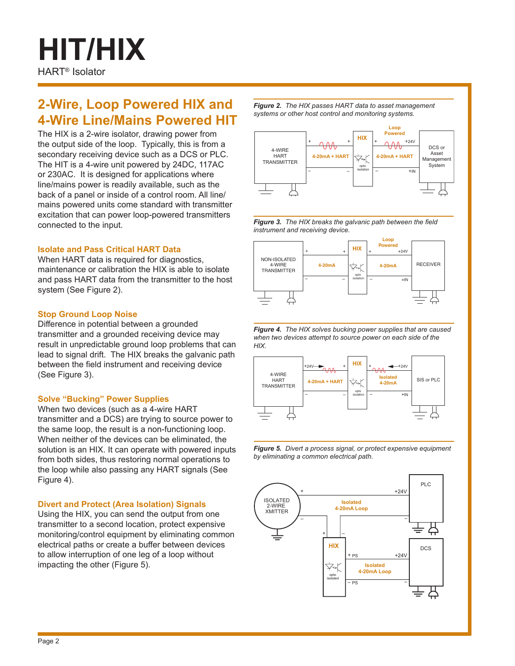# HART® Isolator **HIT/HIX**

## **2-Wire, Loop Powered HIX and 4-Wire Line/Mains Powered HIT**

The HIX is a 2-wire isolator, drawing power from the output side of the loop. Typically, this is from a secondary receiving device such as a DCS or PLC. The HIT is a 4-wire unit powered by 24DC, 117AC or 230AC. It is designed for applications where line/mains power is readily available, such as the back of a panel or inside of a control room. All line/ mains powered units come standard with transmitter excitation that can power loop-powered transmitters connected to the input.

#### **Isolate and Pass Critical HART Data**

When HART data is required for diagnostics, maintenance or calibration the HIX is able to isolate and pass HART data from the transmitter to the host system (See Figure 2).

#### **Stop Ground Loop Noise**

Difference in potential between a grounded transmitter and a grounded receiving device may result in unpredictable ground loop problems that can lead to signal drift. The HIX breaks the galvanic path between the field instrument and receiving device (See Figure 3).

#### **Solve "Bucking" Power Supplies**

When two devices (such as a 4-wire HART transmitter and a DCS) are trying to source power to the same loop, the result is a non-functioning loop. When neither of the devices can be eliminated, the solution is an HIX. It can operate with powered inputs from both sides, thus restoring normal operations to the loop while also passing any HART signals (See Figure 4).

#### **Divert and Protect (Area Isolation) Signals**

Using the HIX, you can send the output from one transmitter to a second location, protect expensive monitoring/control equipment by eliminating common electrical paths or create a buffer between devices to allow interruption of one leg of a loop without impacting the other (Figure 5).

*Figure 2. The HIX passes HART data to asset management systems or other host control and monitoring systems.*



*Figure 3. The HIX breaks the galvanic path between the field instrument and receiving device.*



*Figure 4. The HIX solves bucking power supplies that are caused when two devices attempt to source power on each side of the HIX.* 



*Figure 5. Divert a process signal, or protect expensive equipment by eliminating a common electrical path.*

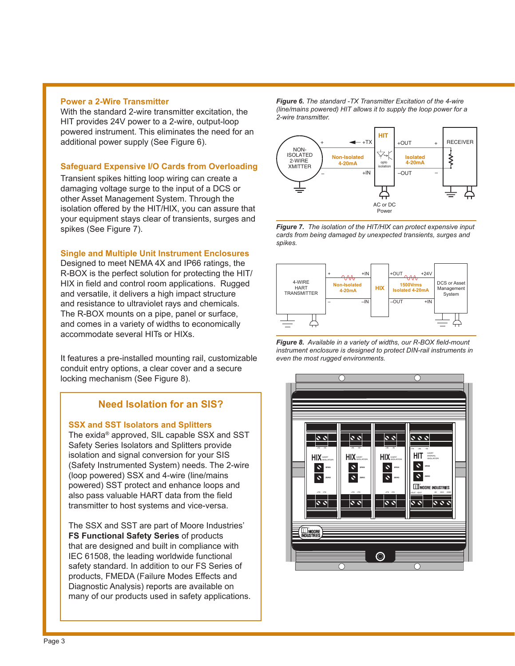#### **Power a 2-Wire Transmitter**

With the standard 2-wire transmitter excitation, the HIT provides 24V power to a 2-wire, output-loop powered instrument. This eliminates the need for an additional power supply (See Figure 6).

#### **Safeguard Expensive I/O Cards from Overloading**

Transient spikes hitting loop wiring can create a damaging voltage surge to the input of a DCS or other Asset Management System. Through the isolation offered by the HIT/HIX, you can assure that your equipment stays clear of transients, surges and spikes (See Figure 7).

#### **Single and Multiple Unit Instrument Enclosures**

Designed to meet NEMA 4X and IP66 ratings, the R-BOX is the perfect solution for protecting the HIT/ HIX in field and control room applications. Rugged and versatile, it delivers a high impact structure and resistance to ultraviolet rays and chemicals. The R-BOX mounts on a pipe, panel or surface, and comes in a variety of widths to economically accommodate several HITs or HIXs.

It features a pre-installed mounting rail, customizable conduit entry options, a clear cover and a secure locking mechanism (See Figure 8).

### **Need Isolation for an SIS?**

#### **SSX and SST Isolators and Splitters**

The exida® approved, SIL capable SSX and SST Safety Series Isolators and Splitters provide isolation and signal conversion for your SIS (Safety Instrumented System) needs. The 2-wire (loop powered) SSX and 4-wire (line/mains powered) SST protect and enhance loops and also pass valuable HART data from the field transmitter to host systems and vice-versa.

The SSX and SST are part of Moore Industries' **FS Functional Safety Series** of products that are designed and built in compliance with IEC 61508, the leading worldwide functional safety standard. In addition to our FS Series of products, FMEDA (Failure Modes Effects and Diagnostic Analysis) reports are available on many of our products used in safety applications. *Figure 6. The standard -TX Transmitter Excitation of the 4-wire (line/mains powered) HIT allows it to supply the loop power for a 2-wire transmitter.*



*Figure 7. The isolation of the HIT/HIX can protect expensive input cards from being damaged by unexpected transients, surges and spikes.*



*Figure 8. Available in a variety of widths, our R-BOX field-mount instrument enclosure is designed to protect DIN-rail instruments in even the most rugged environments.*

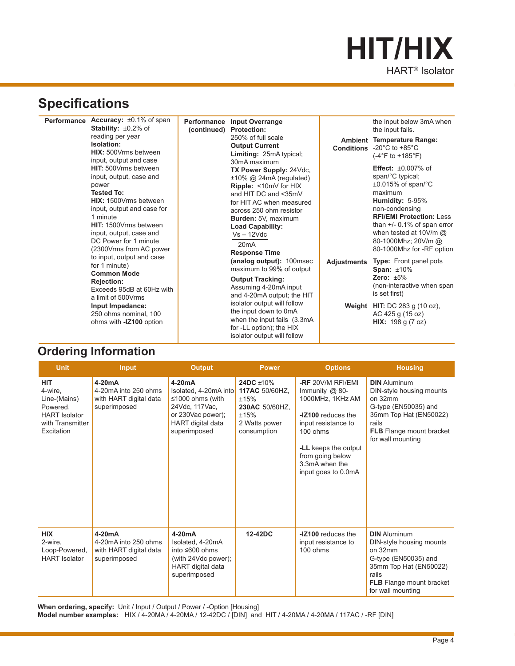# HART® Isolator **HIT/HIX**

# **Specifications**

| Accuracy: $\pm 0.1\%$ of span<br>Performance<br><b>Stability:</b> $\pm 0.2\%$ of<br>reading per year<br>Isolation:<br>HIX: 500Vrms between<br>input, output and case                                                                                            | Performance Input Overrange<br>(continued) Protection:<br>250% of full scale<br><b>Output Current</b><br><b>Limiting: 25mA typical;</b><br>30mA maximum                                                                                                                                   |             | the input below 3mA when<br>the input fails.<br><b>Ambient Temperature Range:</b><br><b>Conditions</b> -20 $^{\circ}$ C to +85 $^{\circ}$ C<br>$(-4^{\circ}F to +185^{\circ}F)$                                                                                                     |
|-----------------------------------------------------------------------------------------------------------------------------------------------------------------------------------------------------------------------------------------------------------------|-------------------------------------------------------------------------------------------------------------------------------------------------------------------------------------------------------------------------------------------------------------------------------------------|-------------|-------------------------------------------------------------------------------------------------------------------------------------------------------------------------------------------------------------------------------------------------------------------------------------|
| HIT: 500Vrms between<br>input, output, case and<br>power<br><b>Tested To:</b><br><b>HIX:</b> 1500Vrms between<br>input, output and case for<br>1 minute<br>HIT: 1500Vrms between<br>input, output, case and<br>DC Power for 1 minute<br>(2300Vrms from AC power | TX Power Supply: 24Vdc,<br>$±10\%$ @ 24mA (regulated)<br><b>Ripple:</b> <10mV for HIX<br>and HIT DC and <35mV<br>for HIT AC when measured<br>across 250 ohm resistor<br>Burden: 5V, maximum<br><b>Load Capability:</b><br>$Vs - 12Vdc$<br>20mA<br><b>Response Time</b>                    |             | <b>Effect:</b> $\pm 0.007\%$ of<br>span/°C typical;<br>$\pm 0.015\%$ of span/°C<br>maximum<br>Humidity: 5-95%<br>non-condensing<br><b>RFI/EMI Protection: Less</b><br>than $+/-$ 0.1% of span error<br>when tested at $10V/m$ @<br>80-1000Mhz; 20V/m @<br>80-1000Mhz for -RF option |
| to input, output and case<br>for 1 minute)<br><b>Common Mode</b><br><b>Rejection:</b><br>Exceeds 95dB at 60Hz with<br>a limit of 500Vrms<br>Input Impedance:<br>250 ohms nominal, 100<br>ohms with -IZ100 option                                                | (analog output): 100msec<br>maximum to 99% of output<br><b>Output Tracking:</b><br>Assuming 4-20mA input<br>and 4-20mA output; the HIT<br>isolator output will follow<br>the input down to 0mA<br>when the input fails (3.3mA)<br>for -LL option); the HIX<br>isolator output will follow | Adjustments | <b>Type:</b> Front panel pots<br>Span: $±10\%$<br>Zero: $±5\%$<br>(non-interactive when span<br>is set first)<br>Weight HIT: DC 283 g $(10 oz)$ ,<br>AC 425 g (15 oz)<br>HIX: 198 g (7 oz)                                                                                          |

### **Ordering Information**

| <b>Unit</b>                                                                                                 | <b>Input</b>                                                               | <b>Output</b>                                                                                                                     | <b>Power</b>                                                                                  | <b>Options</b>                                                                                                                                                                                          | <b>Housing</b>                                                                                                                                                                |
|-------------------------------------------------------------------------------------------------------------|----------------------------------------------------------------------------|-----------------------------------------------------------------------------------------------------------------------------------|-----------------------------------------------------------------------------------------------|---------------------------------------------------------------------------------------------------------------------------------------------------------------------------------------------------------|-------------------------------------------------------------------------------------------------------------------------------------------------------------------------------|
| <b>HIT</b><br>4-wire,<br>Line-(Mains)<br>Powered,<br><b>HART</b> Isolator<br>with Transmitter<br>Excitation | 4-20mA<br>4-20mA into 250 ohms<br>with HART digital data<br>superimposed   | $4-20mA$<br>Isolated, 4-20mA into<br>≤1000 ohms (with<br>24Vdc, 117Vac,<br>or 230Vac power);<br>HART digital data<br>superimposed | 24DC ±10%<br>117AC 50/60HZ.<br>±15%<br>230AC 50/60HZ.<br>±15%<br>2 Watts power<br>consumption | -RF 20V/M RFI/EMI<br>Immunity $@$ 80-<br>1000MHz, 1KHz AM<br>-IZ100 reduces the<br>input resistance to<br>100 ohms<br>-LL keeps the output<br>from going below<br>3.3mA when the<br>input goes to 0.0mA | <b>DIN</b> Aluminum<br>DIN-style housing mounts<br>on 32mm<br>G-type (EN50035) and<br>35mm Top Hat (EN50022)<br>rails<br><b>FLB</b> Flange mount bracket<br>for wall mounting |
| <b>HIX</b><br>2-wire,<br>Loop-Powered,<br><b>HART</b> Isolator                                              | $4-20mA$<br>4-20mA into 250 ohms<br>with HART digital data<br>superimposed | 4-20mA<br>Isolated, 4-20mA<br>into ≤600 ohms<br>(with 24Vdc power);<br><b>HART</b> digital data<br>superimposed                   | 12-42DC                                                                                       | -IZ100 reduces the<br>input resistance to<br>100 ohms                                                                                                                                                   | <b>DIN</b> Aluminum<br>DIN-style housing mounts<br>on 32mm<br>G-type (EN50035) and<br>35mm Top Hat (EN50022)<br>rails<br><b>FLB</b> Flange mount bracket<br>for wall mounting |

When ordering, specify: Unit / Input / Output / Power / -Option [Housing] **Model number examples:** HIX / 4-20MA / 4-20MA / 12-42DC / [DIN] and HIT / 4-20MA / 4-20MA / 117AC / -RF [DIN]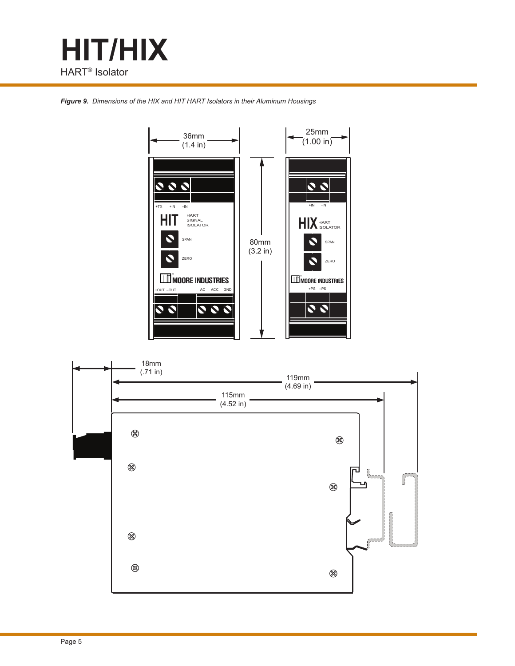

*Figure 9. Dimensions of the HIX and HIT HART Isolators in their Aluminum Housings*